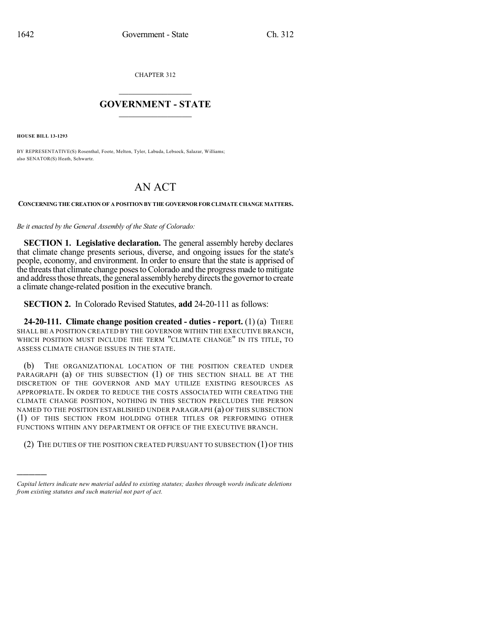CHAPTER 312

## $\overline{\phantom{a}}$  . The set of the set of the set of the set of the set of the set of the set of the set of the set of the set of the set of the set of the set of the set of the set of the set of the set of the set of the set o **GOVERNMENT - STATE**  $\_$

**HOUSE BILL 13-1293**

)))))

BY REPRESENTATIVE(S) Rosenthal, Foote, Melton, Tyler, Labuda, Lebsock, Salazar, Williams; also SENATOR(S) Heath, Schwartz.

## AN ACT

## **CONCERNING THE CREATION OF A POSITION BY THE GOVERNOR FOR CLIMATE CHANGE MATTERS.**

*Be it enacted by the General Assembly of the State of Colorado:*

**SECTION 1. Legislative declaration.** The general assembly hereby declares that climate change presents serious, diverse, and ongoing issues for the state's people, economy, and environment. In order to ensure that the state is apprised of the threats that climate change poses to Colorado and the progress made to mitigate and address those threats, the general assembly hereby directs the governor to create a climate change-related position in the executive branch.

**SECTION 2.** In Colorado Revised Statutes, **add** 24-20-111 as follows:

**24-20-111. Climate change position created - duties - report.** (1) (a) THERE SHALL BE A POSITION CREATED BY THE GOVERNOR WITHIN THE EXECUTIVE BRANCH, WHICH POSITION MUST INCLUDE THE TERM "CLIMATE CHANGE" IN ITS TITLE, TO ASSESS CLIMATE CHANGE ISSUES IN THE STATE.

(b) THE ORGANIZATIONAL LOCATION OF THE POSITION CREATED UNDER PARAGRAPH (a) OF THIS SUBSECTION (1) OF THIS SECTION SHALL BE AT THE DISCRETION OF THE GOVERNOR AND MAY UTILIZE EXISTING RESOURCES AS APPROPRIATE. IN ORDER TO REDUCE THE COSTS ASSOCIATED WITH CREATING THE CLIMATE CHANGE POSITION, NOTHING IN THIS SECTION PRECLUDES THE PERSON NAMED TO THE POSITION ESTABLISHED UNDER PARAGRAPH (a) OF THIS SUBSECTION (1) OF THIS SECTION FROM HOLDING OTHER TITLES OR PERFORMING OTHER FUNCTIONS WITHIN ANY DEPARTMENT OR OFFICE OF THE EXECUTIVE BRANCH.

(2) THE DUTIES OF THE POSITION CREATED PURSUANT TO SUBSECTION (1) OF THIS

*Capital letters indicate new material added to existing statutes; dashes through words indicate deletions from existing statutes and such material not part of act.*